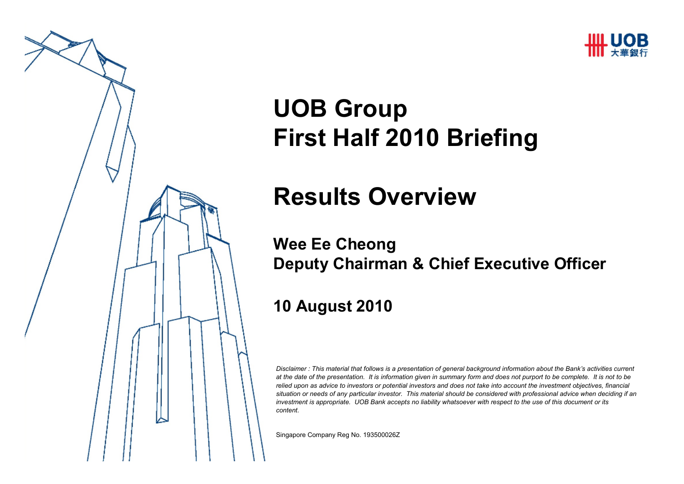



# **UOB GroupFirst Half 2010 Briefing**

# **Results Overview**

#### **Wee Ee CheongDeputy Chairman & Chief Executive Officer**

#### **10 August 2010**

*Disclaimer : This material that follows is a presentation of general background information about the Bank's activities current at the date of the presentation. It is information given in summary form and does not purport to be complete. It is not to be relied upon as advice to investors or potential investors and does not take into account the investment objectives, financial situation or needs of any particular investor. This material should be considered with professional advice when deciding if an investment is appropriate. UOB Bank accepts no liability whatsoever with respect to the use of this document or its content.*

Singapore Company Reg No. 193500026Z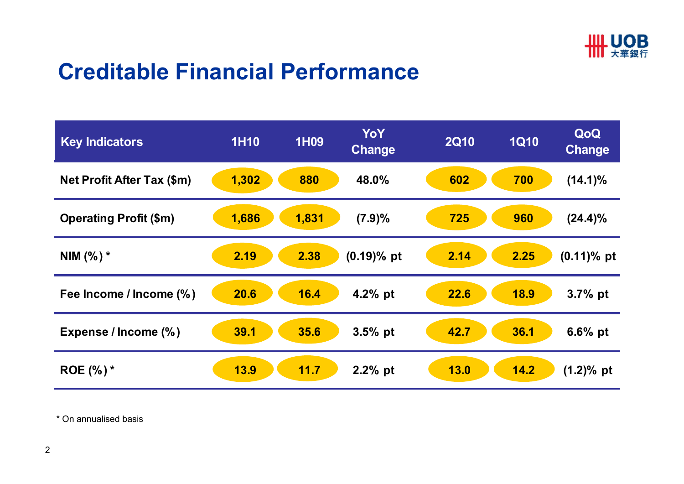

#### **Creditable Financial Performance**

| <b>Key Indicators</b>             | <b>1H10</b> | <b>1H09</b> | YoY<br><b>Change</b> | <b>2Q10</b> | <b>1Q10</b> | QoQ<br><b>Change</b> |
|-----------------------------------|-------------|-------------|----------------------|-------------|-------------|----------------------|
| <b>Net Profit After Tax (\$m)</b> | 1,302       | 880         | 48.0%                | 602         | 700         | $(14.1)\%$           |
| <b>Operating Profit (\$m)</b>     | 1,686       | 1,831       | (7.9)%               | 725         | 960         | $(24.4)\%$           |
| NIM $(\%)^*$                      | 2.19        | 2.38        | $(0.19)$ % pt        | 2.14        | 2.25        | $(0.11)\%$ pt        |
| Fee Income / Income (%)           | 20.6        | 16.4        | 4.2% pt              | 22.6        | <b>18.9</b> | $3.7%$ pt            |
| Expense / Income (%)              | 39.1        | 35.6        | 3.5% pt              | 42.7        | 36.1        | $6.6%$ pt            |
| ROE $(\%)^*$                      | <b>13.9</b> | 11.7        | $2.2%$ pt            | <b>13.0</b> | 14.2        | $(1.2)$ % pt         |

\* On annualised basis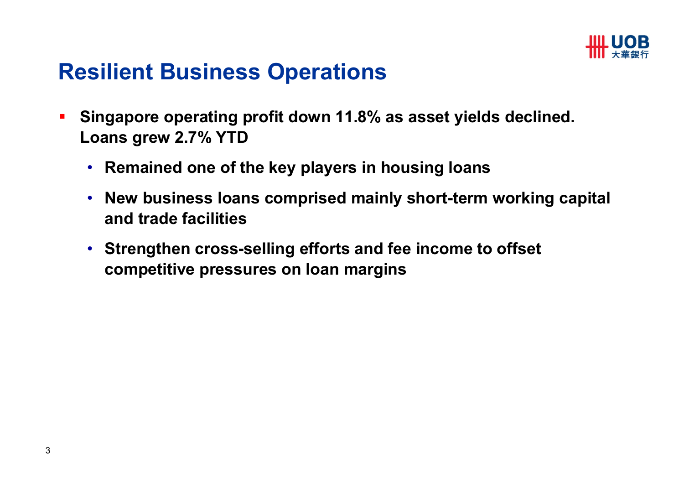

#### **Resilient Business Operations**

- $\blacksquare$  **Singapore operating profit down 11.8% as asset yields declined. Loans grew 2.7% YTD** 
	- **Remained one of the key players in housing loans**
	- **New business loans comprised mainly short-term working capital and trade facilities**
	- **Strengthen cross-selling efforts and fee income to offset competitive pressures on loan margins**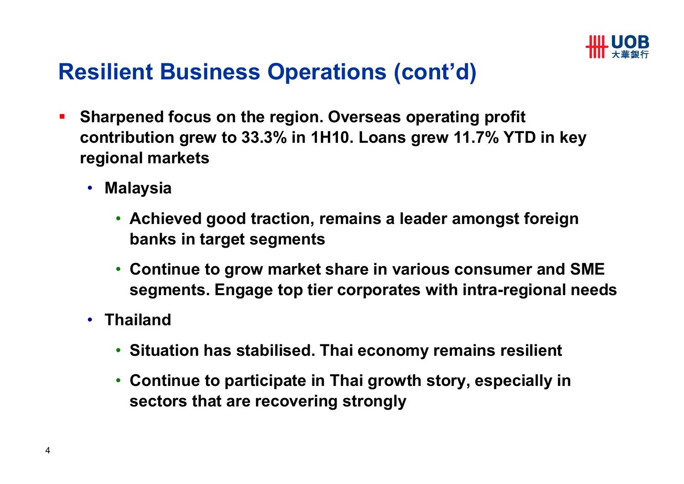

# **Resilient Business Operations (cont'd)**

- $\blacksquare$  **Sharpened focus on the region. Overseas operating profit contribution grew to 33.3% in 1H10. Loans grew 11.7% YTD in key regional markets**
	- **Malaysia** 
		- **Achieved good traction, remains a leader amongst foreign banks in target segments**
		- **Continue to grow market share in various consumer and SME segments. Engage top tier corporates with intra-regional needs**
	- **Thailand**
		- **Situation has stabilised. Thai economy remains resilient**
		- **Continue to participate in Thai growth story, especially in sectors that are recovering strongly**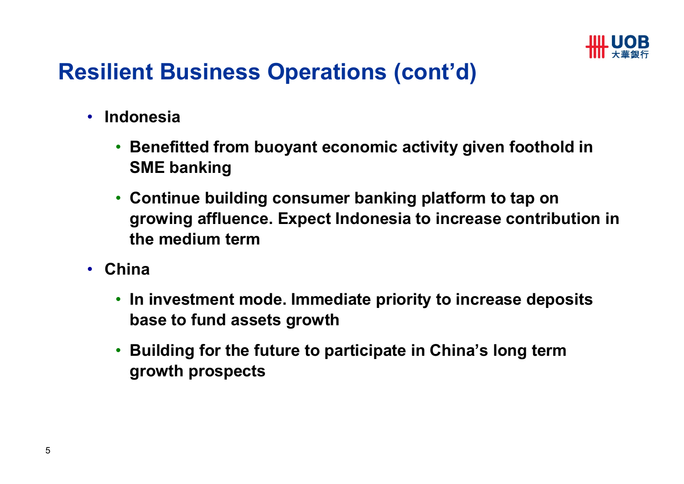

# **Resilient Business Operations (cont'd)**

- • **Indonesia** 
	- $\bullet$  **Benefitted from buoyant economic activity given foothold in SME banking**
	- **Continue building consumer banking platform to tap on growing affluence. Expect Indonesia to increase contribution in the medium term**
- $\bullet$  **China**
	- **In investment mode. Immediate priority to increase deposits base to fund assets growth**
	- • **Building for the future to participate in China's long term growth prospects**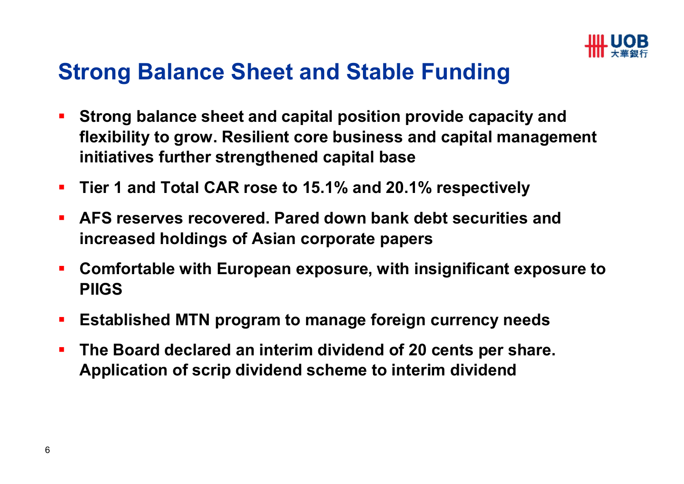

### **Strong Balance Sheet and Stable Funding**

- $\mathbf{r}$  **Strong balance sheet and capital position provide capacity and flexibility to grow. Resilient core business and capital management initiatives further strengthened capital base**
- $\blacksquare$ **Tier 1 and Total CAR rose to 15.1% and 20.1% respectively**
- $\blacksquare$  **AFS reserves recovered. Pared down bank debt securities and increased holdings of Asian corporate papers**
- $\mathcal{L}_{\mathcal{A}}$  **Comfortable with European exposure, with insignificant exposure to PIIGS**
- $\mathcal{L}_{\mathcal{A}}$ **Established MTN program to manage foreign currency needs**
- $\blacksquare$  **The Board declared an interim dividend of 20 cents per share. Application of scrip dividend scheme to interim dividend**